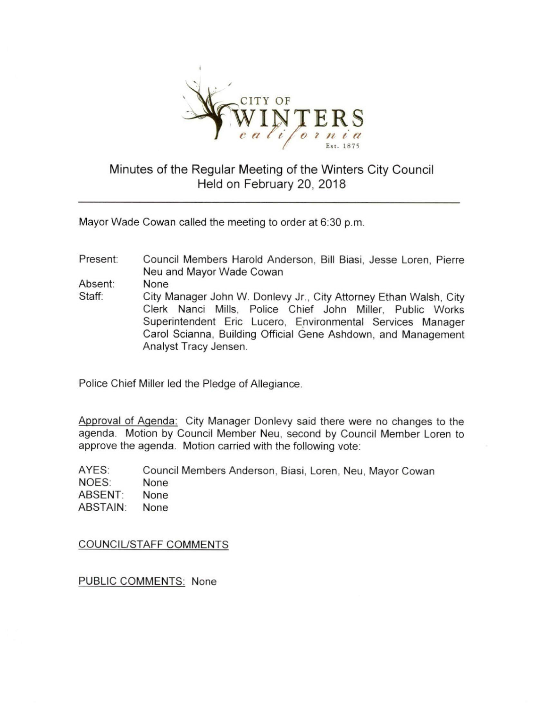

## Minutes of the Regular Meeting of the Winters City Council Held on February 20, 2018

Mayor Wade Cowan called the meeting to order at 6:30 p.m.

Present: Council Members Harold Anderson, Bill Biasi, Jesse Loren, Pierre Neu and Mayor Wade Cowan

Absent: None

Staff: City Manager John W. Donlevy Jr., City Attorney Ethan Walsh, City Clerk Nanci Mills, Police Chief John Miller, Public Works Superintendent Eric Lucero, Environmental Services Manager Carol Scianna, Building Official Gene Ashdown, and Management Analyst Tracy Jensen.

Police Chief Miller led the Pledge of Allegiance.

Approval of Agenda: City Manager Donlevy said there were no changes to the agenda. Motion by Council Member Neu, second by Council Member Loren to approve the agenda. Motion carried with the following vote:

AYES: Council Members Anderson. Biasi, Loren, Neu, Mayor Cowan NOES: None ABSENT: None ABSTAIN: None

COUNCIL/STAFF COMMENTS

PUBLIC COMMENTS: None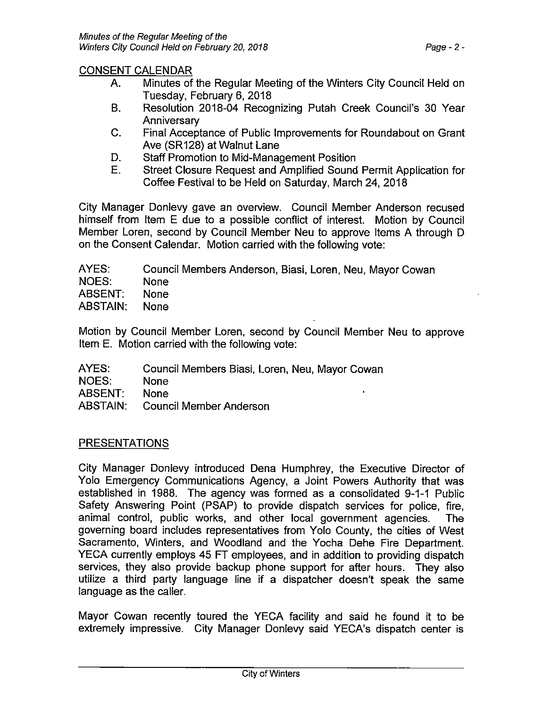CONSENT CALENDAR

- A. Minutes of the Regular Meeting of the Winters City Council Held on Tuesday, February 6, 2018
- B. Resolution 2018-04 Recognizing Putah Creek Council's 30 Year Anniversary
- C. Final Acceptance of Public Improvements for Roundabout on Grant Ave (SR128) at Walnut Lane
- D. Staff Promotion to Mid-Management Position
- E. Street Closure Request and Amplified Sound Permit Application for Coffee Festival to be Held on Saturday, March 24, 2018

City Manager Donlevy gave an overview. Council Member Anderson recused himself from Item E due to a possible conflict of interest. Motion by Council Member Loren, second by Council Member Neu to approve Items A through D on the Consent Calendar. Motion carried with the following vote:

| AYES:         | Council Members Anderson, Biasi, Loren, Neu, Mayor Cowan |
|---------------|----------------------------------------------------------|
| NOES:         | None.                                                    |
| ABSENT:       | None.                                                    |
| ABSTAIN: None |                                                          |

Motion by Council Member Loren, second by Council Member Neu to approve Item E. Motion carried with the following vote:

- AYES: Council Members Biasi, Loren, Neu, Mayor Cowan
- NOES: None
- ABSENT: None
- ABSTAIN: Council Member Anderson

## PRESENTATIONS

City Manager Donlevy introduced Dena Humphrey, the Executive Director of Yolo Emergency Communications Agency, a Joint Powers Authority that was established in 1988. The agency was formed as a consolidated 9-1-1 Public Safety Answering Point (PSAP) to provide dispatch services for police, fire, animal control, public works, and other local government agencies. The governing board includes representatives from Yolo County, the cities of West Sacramento, Winters, and Woodland and the Yocha Dehe Fire Department. YECA currently employs 45 FT employees, and in addition to providing dispatch services, they also provide backup phone support for after hours. They also utilize a third party language line if a dispatcher doesn't speak the same language as the caller.

Mayor Cowan recently toured the YECA facility and said he found it to be extremely impressive. City Manager Donlevy said YECA's dispatch center is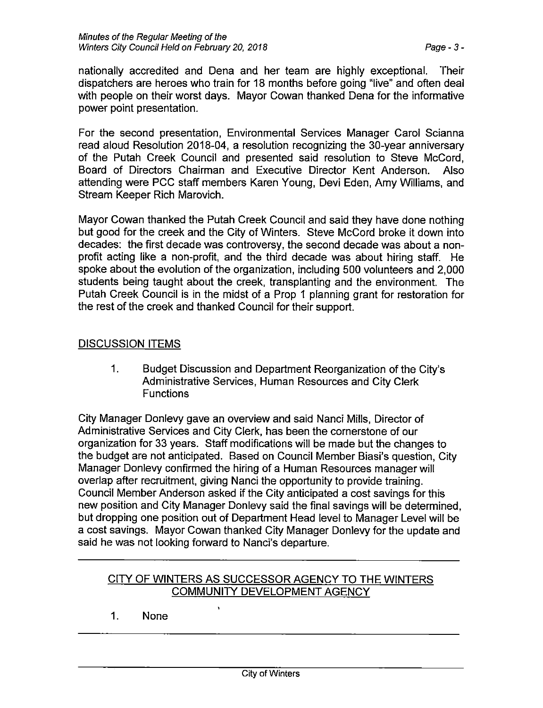nationaily accredited and Dena and her team are highly exceptional. Their dispatchers are heroes who train for 18 months before going "live" and often deal with people on their worst days. Mayor Cowan thanked Dena for the informative power point presentation.

For the second presentation, Environmental Services Manager Carol Scianna read aloud Resolution 2018-04, a resolution recognizing the 30-year anniversary of the Putah Creek Council and presented said resolution to Steve McCord, Board of Directors Chairman and Executive Director Kent Anderson. Also attending were PCC staff members Karen Young, Devi Eden, Amy Williams, and Stream Keeper Rich Marovich.

Mayor Cowan thanked the Putah Creek Council and said they have done nothing but good for the creek and the City of Winters. Steve McCord broke it down into decades: the first decade was controversy, the second decade was about a non profit acting like a non-profit, and the third decade was about hiring staff. He spoke about the evolution of the organization, including 500 volunteers and 2,000 students being taught about the creek, transplanting and the environment. The Putah Creek Council is in the midst of a Prop 1 planning grant for restoration for the rest of the creek and thanked Council for their support.

## DISCUSSION ITEMS

1. Budget Discussion and Department Reorganization of the City's Administrative Services, Human Resources and City Clerk Functions

City Manager Donlevy gave an overview and said Nanci Mills, Director of Administrative Services and City Clerk, has been the cornerstone of our organization for 33 years. Staff modifications will be made but the changes to the budget are not anticipated. Based on Council Member Biasl's question, City Manager Donlevy confirmed the hiring of a Human Resources manager will overlap after recruitment, giving Nanci the opportunity to provide training. Council Member Anderson asked if the City anticipated a cost savings for this new position and City Manager Donlevy said the final savings will be determined, but dropping one position out of Department Head level to Manager Level will be a cost savings. Mayor Cowan thanked City Manager Donlevy for the update and said he was not looking fonward to Nanci's departure.

## CITY OF WINTERS AS SUCCESSOR AGENCY TO THE WINTERS COMMUNITY DEVELOPMENT AGENCY

 $\ddot{\phantom{1}}$ 

1. None